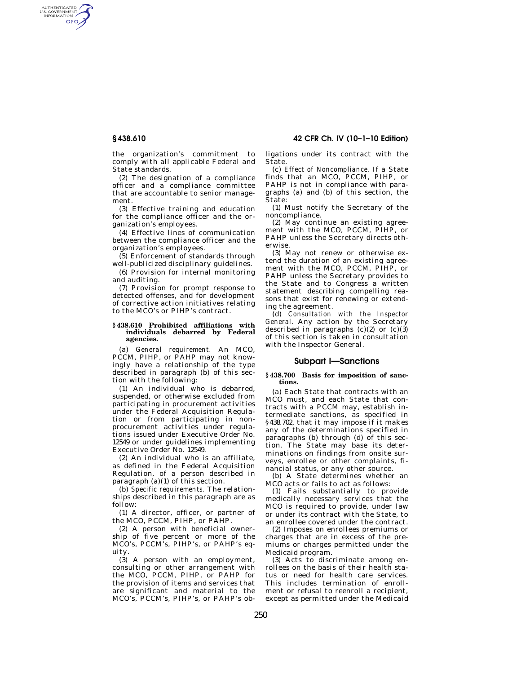AUTHENTICATED<br>U.S. GOVERNMENT<br>INFORMATION GPO

> the organization's commitment to comply with all applicable Federal and State standards.

> (2) The designation of a compliance officer and a compliance committee that are accountable to senior management.

> (3) Effective training and education for the compliance officer and the organization's employees.

> (4) Effective lines of communication between the compliance officer and the organization's employees.

(5) Enforcement of standards through well-publicized disciplinary guidelines.

(6) Provision for internal monitoring and auditing.

(7) Provision for prompt response to detected offenses, and for development of corrective action initiatives relating to the MCO's or PIHP's contract.

#### **§ 438.610 Prohibited affiliations with individuals debarred by Federal agencies.**

(a) *General requirement.* An MCO, PCCM, PIHP, or PAHP may not knowingly have a relationship of the type described in paragraph (b) of this section with the following:

(1) An individual who is debarred, suspended, or otherwise excluded from participating in procurement activities under the Federal Acquisition Regulation or from participating in nonprocurement activities under regulations issued under Executive Order No. 12549 or under guidelines implementing Executive Order No. 12549.

(2) An individual who is an affiliate, as defined in the Federal Acquisition Regulation, of a person described in paragraph (a)(1) of this section.

(b) *Specific requirements.* The relationships described in this paragraph are as follow:

(1) A director, officer, or partner of the MCO, PCCM, PIHP, or PAHP.

(2) A person with beneficial ownership of five percent or more of the MCO's, PCCM's, PIHP's, or PAHP's equity.

(3) A person with an employment, consulting or other arrangement with the MCO, PCCM, PIHP, or PAHP for the provision of items and services that are significant and material to the MCO's, PCCM's, PIHP's, or PAHP's ob-

**§ 438.610 42 CFR Ch. IV (10–1–10 Edition)** 

ligations under its contract with the State.

(c) *Effect of Noncompliance.* If a State finds that an MCO, PCCM, PIHP, or PAHP is not in compliance with paragraphs (a) and (b) of this section, the State:

(1) Must notify the Secretary of the noncompliance.

(2) May continue an existing agreement with the MCO, PCCM, PIHP, or PAHP unless the Secretary directs otherwise.

(3) May not renew or otherwise extend the duration of an existing agreement with the MCO, PCCM, PIHP, or PAHP unless the Secretary provides to the State and to Congress a written statement describing compelling reasons that exist for renewing or extending the agreement.

(d) *Consultation with the Inspector General.* Any action by the Secretary described in paragraphs  $(c)(2)$  or  $(c)(3)$ of this section is taken in consultation with the Inspector General.

# **Subpart I—Sanctions**

#### **§ 438.700 Basis for imposition of sanctions.**

(a) Each State that contracts with an MCO must, and each State that contracts with a PCCM may, establish intermediate sanctions, as specified in §438.702, that it may impose if it makes any of the determinations specified in paragraphs (b) through (d) of this section. The State may base its determinations on findings from onsite surveys, enrollee or other complaints, financial status, or any other source.

(b) A State determines whether an MCO acts or fails to act as follows:

(1) Fails substantially to provide medically necessary services that the MCO is required to provide, under law or under its contract with the State, to an enrollee covered under the contract.

(2) Imposes on enrollees premiums or charges that are in excess of the premiums or charges permitted under the Medicaid program.

 $(3)$  Acts to discriminate among enrollees on the basis of their health status or need for health care services. This includes termination of enrollment or refusal to reenroll a recipient, except as permitted under the Medicaid